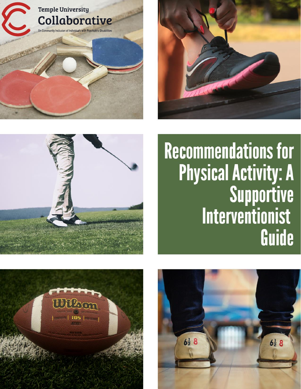





# **Recommendations for Physical Activity: A** Supportive Interventionist Guide



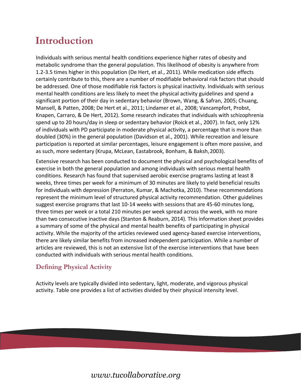## **Introduction**

Individuals with serious mental health conditions experience higher rates of obesity and metabolic syndrome than the general population. This likelihood of obesity is anywhere from 1.2-3.5 times higher in this population (De Hert, et al., 2011). While medication side effects certainly contribute to this, there are a number of modifiable behavioral risk factors that should be addressed. One of those modifiable risk factors is physical inactivity. Individuals with serious mental health conditions are less likely to meet the physical activity guidelines and spend a significant portion of their day in sedentary behavior (Brown, Wang, & Safran, 2005; Chuang, Mansell, & Patten, 2008; De Hert et al., 2011; Lindamer et al., 2008; Vancampfort, Probst, Knapen, Carraro, & De Hert, 2012). Some research indicates that individuals with schizophrenia spend up to 20 hours/day in sleep or sedentary behavior (Roick et al., 2007). In fact, only 12% of individuals with PD participate in moderate physical activity, a percentage that is more than doubled (30%) in the general population (Davidson et al., 2001). While recreation and leisure participation is reported at similar percentages, leisure engagement is often more passive, and as such, more sedentary (Krupa, McLean, Eastabrook, Bonham, & Baksh,2003).

Extensive research has been conducted to document the physical and psychological benefits of exercise in both the general population and among individuals with serious mental health conditions. Research has found that supervised aerobic exercise programs lasting at least 8 weeks, three times per week for a minimum of 30 minutes are likely to yield beneficial results for individuals with depression (Perraton, Kumar, & Machotka, 2010). These recommendations represent the minimum level of structured physical activity recommendation. Other guidelines suggest exercise programs that last 10-14 weeks with sessions that are 45-60 minutes long, three times per week or a total 210 minutes per week spread across the week, with no more than two consecutive inactive days (Stanton & Reaburn, 2014). This information sheet provides a summary of some of the physical and mental health benefits of participating in physical activity. While the majority of the articles reviewed used agency-based exercise interventions, there are likely similar benefits from increased independent participation. While a number of articles are reviewed, this is not an extensive list of the exercise interventions that have been conducted with individuals with serious mental health conditions.

#### **Defining Physical Activity**

Activity levels are typically divided into sedentary, light, moderate, and vigorous physical activity. Table one provides a list of activities divided by their physical intensity level.

### *[www.tucollaborative.org](http://www.tucollaborative.org/)*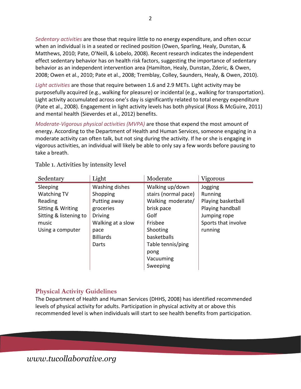*Sedentary activities* are those that require little to no energy expenditure, and often occur when an individual is in a seated or reclined position (Owen, Sparling, Healy, Dunstan, & Matthews, 2010; Pate, O'Neill, & Lobelo, 2008). Recent research indicates the independent effect sedentary behavior has on health risk factors, suggesting the importance of sedentary behavior as an independent intervention area (Hamilton, Healy, Dunstan, Zderic, & Owen, 2008; Owen et al., 2010; Pate et al., 2008; Tremblay, Colley, Saunders, Healy, & Owen, 2010).

*Light activities* are those that require between 1.6 and 2.9 METs. Light activity may be purposefully acquired (e.g., walking for pleasure) or incidental (e.g., walking for transportation). Light activity accumulated across one's day is significantly related to total energy expenditure (Pate et al., 2008). Engagement in light activity levels has both physical (Ross & McGuire, 2011) and mental health (Sieverdes et al., 2012) benefits.

*Moderate-Vigorous physical activities (MVPA)* are those that expend the most amount of energy. According to the Department of Health and Human Services, someone engaging in a moderate activity can often talk, but not sing during the activity. If he or she is engaging in vigorous activities, an individual will likely be able to only say a few words before pausing to take a breath.

| Sedentary              | Light             | Moderate             | Vigorous            |
|------------------------|-------------------|----------------------|---------------------|
| Sleeping               | Washing dishes    | Walking up/down      | Jogging             |
| Watching TV            | Shopping          | stairs (normal pace) | Running             |
| Reading                | Putting away      | Walking moderate/    | Playing basketball  |
| Sitting & Writing      | groceries         | brisk pace           | Playing handball    |
| Sitting & listening to | <b>Driving</b>    | Golf                 | Jumping rope        |
| music                  | Walking at a slow | Frisbee              | Sports that involve |
| Using a computer       | pace              | Shooting             | running             |
|                        | <b>Billiards</b>  | basketballs          |                     |
|                        | Darts             | Table tennis/ping    |                     |
|                        |                   | pong                 |                     |
|                        |                   | Vacuuming            |                     |
|                        |                   | Sweeping             |                     |

Table 1. Activities by intensity level

#### **Physical Activity Guidelines**

The Department of Health and Human Services (DHHS, 2008) has identified recommended levels of physical activity for adults. Participation in physical activity at or above this recommended level is when individuals will start to see health benefits from participation.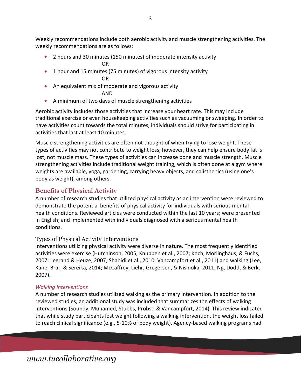Weekly recommendations include both aerobic activity and muscle strengthening activities. The weekly recommendations are as follows:

- 2 hours and 30 minutes (150 minutes) of moderate intensity activity OR
- 1 hour and 15 minutes (75 minutes) of vigorous intensity activity OR
- An equivalent mix of moderate and vigorous activity

AND

A minimum of two days of muscle strengthening activities

Aerobic activity includes those activities that increase your heart rate. This may include traditional exercise or even housekeeping activities such as vacuuming or sweeping. In order to have activities count towards the total minutes, individuals should strive for participating in activities that last at least 10 minutes.

Muscle strengthening activities are often not thought of when trying to lose weight. These types of activities may not contribute to weight loss, however, they can help ensure body fat is lost, not muscle mass. These types of activities can increase bone and muscle strength. Muscle strengthening activities include traditional weight training, which is often done at a gym where weights are available, yoga, gardening, carrying heavy objects, and calisthenics (using one's body as weight), among others.

#### **Benefits of Physical Activity**

A number of research studies that utilized physical activity as an intervention were reviewed to demonstrate the potential benefits of physical activity for individuals with serious mental health conditions. Reviewed articles were conducted within the last 10 years; were presented in English; and implemented with individuals diagnosed with a serious mental health conditions.

#### Types of Physical Activity Interventions

Interventions utilizing physical activity were diverse in nature. The most frequently identified activities were exercise (Hutchinson, 2005; Knubben et al., 2007; Koch, Morlinghaus, & Fuchs, 2007; Legrand & Heuze, 2007; Shahidi et al., 2010; Vancampfort et al., 2011) and walking (Lee, Kane, Brar, & Sereika, 2014; McCaffrey, Liehr, Gregersen, & Nishioka, 2011; Ng, Dodd, & Berk, 2007).

#### *Walking Interventions*

A number of research studies utilized walking as the primary intervention. In addition to the reviewed studies, an additional study was included that summarizes the effects of walking interventions (Soundy, Muhamed, Stubbs, Probst, & Vancampfort, 2014). This review indicated that while study participants lost weight following a walking intervention, the weight loss failed to reach clinical significance (e.g., 5-10% of body weight). Agency-based walking programs had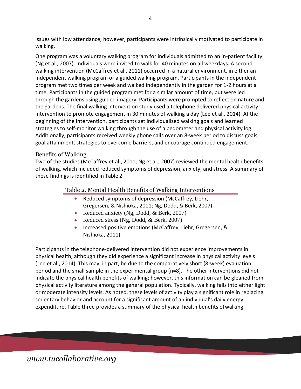issues with low attendance; however, participants were intrinsically motivated to participate in walking.

One program was a voluntary walking program for individuals admitted to an in-patient facility (Ng et al., 2007). Individuals were invited to walk for 40 minutes on all weekdays. A second walking intervention (McCaffrey et al., 2011) occurred in a natural environment, in either an independent walking program or a guided walking program. Participants in the independent program met two times per week and walked independently in the garden for 1-2 hours at a time. Participants in the guided program met for a similar amount of time, but were led through the gardens using guided imagery. Participants were prompted to reflect on nature and the gardens. The final walking intervention study used a telephone delivered physical activity intervention to promote engagement in 30 minutes of walking a day (Lee et al., 2014). At the beginning of the intervention, participants set individualized walking goals and learned strategies to self-monitor walking through the use of a pedometer and physical activity log. Additionally, participants received weekly phone calls over an 8-week period to discuss goals, goal attainment, strategies to overcome barriers, and encourage continued engagement.

#### Benefits of Walking

Two of the studies (McCaffrey et al., 2011; Ng et al., 2007) reviewed the mental health benefits of walking, which included reduced symptoms of depression, anxiety, and stress. A summary of these findings is identified in Table 2.

#### Table 2. Mental Health Benefits of Walking Interventions

- Reduced symptoms of depression (McCaffrey, Liehr, Gregersen, & Nishioka, 2011; Ng, Dodd, & Berk, 2007)
- Reduced anxiety (Ng, Dodd, & Berk, 2007)
- Reduced stress (Ng, Dodd, & Berk, 2007)
- Increased positive emotions (McCaffrey, Liehr, Gregersen, & Nishioka, 2011)  $\bullet$

Participants in the telephone-delivered intervention did not experience improvements in physical health, although they did experience a significant increase in physical activity levels (Lee et al., 2014). This may, in part, be due to the comparatively short (8-week) evaluation period and the small sample in the experimental group (n=8). The other interventions did not indicate the physical health benefits of walking; however, this information can be gleaned from physical activity literature among the general population. Typically, walking falls into either light or moderate intensity levels. As noted, these levels of activity play a significant role in replacing sedentary behavior and account for a significant amount of an individual's daily energy expenditure. Table three provides a summary of the physical health benefits ofwalking.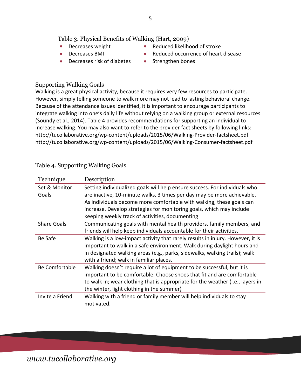#### Table 3. Physical Benefits of Walking (Hart, 2009)

- $\bullet$ Decreases weight
- $\bullet$ Decreases BMI
- $\bullet$ Decreases risk of diabetes
- $\bullet$ Reduced likelihood of stroke
- $\bullet$ Reduced occurrence of heart disease
- $\bullet$ Strengthen bones

#### Supporting Walking Goals

Walking is a great physical activity, because it requires very few resources to participate. However, simply telling someone to walk more may not lead to lasting behavioral change. Because of the attendance issues identified, it is important to encourage participants to integrate walking into one's daily life without relying on a walking group or external resources (Soundy et al., 2014). Table 4 provides recommendations for supporting an individual to increase walking. You may also want to refer to the provider fact sheets by following links: <http://tucollaborative.org/wp-content/uploads/2015/06/Walking-Provider-factsheet.pdf> <http://tucollaborative.org/wp-content/uploads/2015/06/Walking-Consumer-factsheet.pdf>

| Technique              | Description                                                                                                                                                                                                                                                                                                                                             |
|------------------------|---------------------------------------------------------------------------------------------------------------------------------------------------------------------------------------------------------------------------------------------------------------------------------------------------------------------------------------------------------|
| Set & Monitor<br>Goals | Setting individualized goals will help ensure success. For individuals who<br>are inactive, 10-minute walks, 3 times per day may be more achievable.<br>As individuals become more comfortable with walking, these goals can<br>increase. Develop strategies for monitoring goals, which may include<br>keeping weekly track of activities, documenting |
| <b>Share Goals</b>     | Communicating goals with mental health providers, family members, and<br>friends will help keep individuals accountable for their activities.                                                                                                                                                                                                           |
| Be Safe                | Walking is a low-impact activity that rarely results in injury. However, it is<br>important to walk in a safe environment. Walk during daylight hours and<br>in designated walking areas (e.g., parks, sidewalks, walking trails); walk<br>with a friend; walk in familiar places.                                                                      |
| Be Comfortable         | Walking doesn't require a lot of equipment to be successful, but it is<br>important to be comfortable. Choose shoes that fit and are comfortable<br>to walk in; wear clothing that is appropriate for the weather (i.e., layers in<br>the winter, light clothing in the summer)                                                                         |
| Invite a Friend        | Walking with a friend or family member will help individuals to stay<br>motivated.                                                                                                                                                                                                                                                                      |

#### Table 4. Supporting Walking Goals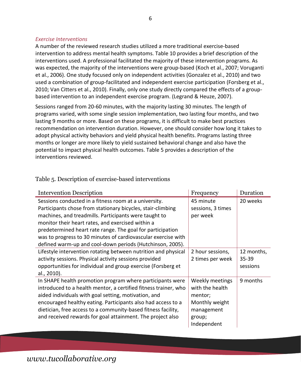#### *Exercise Interventions*

A number of the reviewed research studies utilized a more traditional exercise-based intervention to address mental health symptoms. Table 10 provides a brief description of the interventions used. A professional facilitated the majority of these intervention programs. As was expected, the majority of the interventions were group-based (Koch et al., 2007; Voruganti et al., 2006). One study focused only on independent activities (Gonzalez et al., 2010) and two used a combination of group-facilitated and independent exercise participation (Forsberg et al., 2010; Van Citters et al., 2010). Finally, only one study directly compared the effects of a groupbased intervention to an independent exercise program. (Legrand & Heuze, 2007).

Sessions ranged from 20-60 minutes, with the majority lasting 30 minutes. The length of programs varied, with some single session implementation, two lasting four months, and two lasting 9 months or more. Based on these programs, it is difficult to make best practices recommendation on intervention duration. However, one should consider how long it takes to adopt physical activity behaviors and yield physical health benefits. Programs lasting three months or longer are more likely to yield sustained behavioral change and also have the potential to impact physical health outcomes. Table 5 provides a description of the interventions reviewed.

| <b>Intervention Description</b>                                                                                                                                                                                                                                                                                                                                                                                                | Frequency                                                                                              | Duration                        |
|--------------------------------------------------------------------------------------------------------------------------------------------------------------------------------------------------------------------------------------------------------------------------------------------------------------------------------------------------------------------------------------------------------------------------------|--------------------------------------------------------------------------------------------------------|---------------------------------|
| Sessions conducted in a fitness room at a university.<br>Participants chose from stationary bicycles, stair-climbing<br>machines, and treadmills. Participants were taught to<br>monitor their heart rates, and exercised within a<br>predetermined heart rate range. The goal for participation<br>was to progress to 30 minutes of cardiovascular exercise with<br>defined warm-up and cool-down periods (Hutchinson, 2005). | 45 minute<br>sessions, 3 times<br>per week                                                             | 20 weeks                        |
| Lifestyle intervention rotating between nutrition and physical<br>activity sessions. Physical activity sessions provided<br>opportunities for individual and group exercise (Forsberg et<br>al., 2010).                                                                                                                                                                                                                        | 2 hour sessions,<br>2 times per week                                                                   | 12 months,<br>35-39<br>sessions |
| In SHAPE health promotion program where participants were<br>introduced to a health mentor, a certified fitness trainer, who<br>aided individuals with goal setting, motivation, and<br>encouraged healthy eating. Participants also had access to a<br>dietician, free access to a community-based fitness facility,<br>and received rewards for goal attainment. The project also                                            | Weekly meetings<br>with the health<br>mentor;<br>Monthly weight<br>management<br>group;<br>Independent | 9 months                        |

Table 5. Description of exercise-based interventions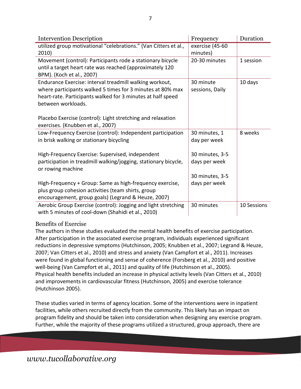| <b>Intervention Description</b>                                                                                                                                                                            | Frequency                        | Duration    |
|------------------------------------------------------------------------------------------------------------------------------------------------------------------------------------------------------------|----------------------------------|-------------|
| utilized group motivational "celebrations." (Van Citters et al.,                                                                                                                                           | exercise (45-60                  |             |
| 2010)                                                                                                                                                                                                      | minutes)                         |             |
| Movement (control): Participants rode a stationary bicycle<br>until a target heart rate was reached (approximately 120<br>BPM). (Koch et al., 2007)                                                        | 20-30 minutes                    | 1 session   |
| Endurance Exercise: interval treadmill walking workout,<br>where participants walked 5 times for 3 minutes at 80% max<br>heart-rate. Participants walked for 3 minutes at half speed<br>between workloads. | 30 minute<br>sessions, Daily     | 10 days     |
| Placebo Exercise (control): Light stretching and relaxation<br>exercises. (Knubben et al., 2007)                                                                                                           |                                  |             |
| Low-Frequency Exercise (control): Independent participation<br>in brisk walking or stationary bicycling                                                                                                    | 30 minutes, 1<br>day per week    | 8 weeks     |
| High-Frequency Exercise: Supervised, independent<br>participation in treadmill walking/jogging, stationary bicycle,<br>or rowing machine                                                                   | 30 minutes, 3-5<br>days per week |             |
| High-Frequency + Group: Same as high-frequency exercise,<br>plus group cohesion activities (team shirts, group<br>encouragement, group goals) (Legrand & Heuze, 2007)                                      | 30 minutes, 3-5<br>days per week |             |
| Aerobic Group Exercise (control): Jogging and light stretching<br>with 5 minutes of cool-down (Shahidi et al., 2010)                                                                                       | 30 minutes                       | 10 Sessions |

#### Benefits of Exercise

The authors in these studies evaluated the mental health benefits of exercise participation. After participation in the associated exercise program, individuals experienced significant reductions in depressive symptoms (Hutchinson, 2005; Knubben et al., 2007; Legrand & Heuze, 2007; Van Citters et al., 2010) and stress and anxiety (Van Campfort et al., 2011). Increases were found in global functioning and sense of coherence (Forsberg et al., 2010) and positive well-being (Van Campfort et al., 2011) and quality of life (Hutchinson et al., 2005). Physical health benefits included an increase in physical activity levels (Van Citters et al., 2010) and improvements in cardiovascular fitness (Hutchinson, 2005) and exercise tolerance (Hutchinson 2005).

These studies varied in terms of agency location. Some of the interventions were in inpatient facilities, while others recruited directly from the community. This likely has an impact on program fidelity and should be taken into consideration when designing any exercise program. Further, while the majority of these programs utilized a structured, group approach, there are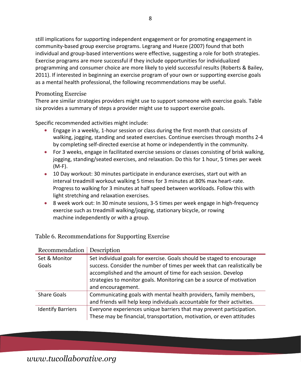still implications for supporting independent engagement or for promoting engagement in community-based group exercise programs. Legrang and Hueze (2007) found that both individual and group-based interventions were effective, suggesting a role for both strategies. Exercise programs are more successful if they include opportunities for individualized programming and consumer choice are more likely to yield successful results (Roberts & Bailey, 2011). If interested in beginning an exercise program of your own or supporting exercise goals as a mental health professional, the following recommendations may be useful.

#### Promoting Exercise

There are similar strategies providers might use to support someone with exercise goals. Table six provides a summary of steps a provider might use to support exercise goals.

Specific recommended activities might include:

- Engage in a weekly, 1-hour session or class during the first month that consists of walking, jogging, standing and seated exercises. Continue exercises through months 2-4 by completing self-directed exercise at home or independently in the community.
- For 3 weeks, engage in facilitated exercise sessions or classes consisting of brisk walking, jogging, standing/seated exercises, and relaxation. Do this for 1 hour, 5 times per week (M-F).
- 10 Day workout: 30 minutes participate in endurance exercises, start out with an interval treadmill workout walking 5 times for 3 minutes at 80% max heart-rate. Progress to walking for 3 minutes at half speed between workloads. Follow this with light stretching and relaxation exercises.
- 8 week work out: In 30 minute sessions, 3-5 times per week engage in high-frequency exercise such as treadmill walking/jogging, stationary bicycle, or rowing machine independently or with a group.

| Recommendation           | Description                                                                                                                                                                                                                                                                                                        |
|--------------------------|--------------------------------------------------------------------------------------------------------------------------------------------------------------------------------------------------------------------------------------------------------------------------------------------------------------------|
| Set & Monitor<br>Goals   | Set individual goals for exercise. Goals should be staged to encourage<br>success. Consider the number of times per week that can realistically be<br>accomplished and the amount of time for each session. Develop<br>strategies to monitor goals. Monitoring can be a source of motivation<br>and encouragement. |
| <b>Share Goals</b>       | Communicating goals with mental health providers, family members,<br>and friends will help keep individuals accountable for their activities.                                                                                                                                                                      |
| <b>Identify Barriers</b> | Everyone experiences unique barriers that may prevent participation.<br>These may be financial, transportation, motivation, or even attitudes                                                                                                                                                                      |

Table 6. Recommendations for Supporting Exercise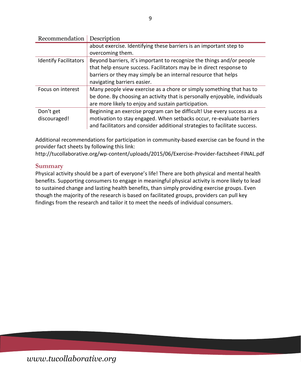| Recommendation               | Description                                                                |
|------------------------------|----------------------------------------------------------------------------|
|                              | about exercise. Identifying these barriers is an important step to         |
|                              | overcoming them.                                                           |
| <b>Identify Facilitators</b> | Beyond barriers, it's important to recognize the things and/or people      |
|                              | that help ensure success. Facilitators may be in direct response to        |
|                              | barriers or they may simply be an internal resource that helps             |
|                              | navigating barriers easier.                                                |
| Focus on interest            | Many people view exercise as a chore or simply something that has to       |
|                              | be done. By choosing an activity that is personally enjoyable, individuals |
|                              | are more likely to enjoy and sustain participation.                        |
| Don't get                    | Beginning an exercise program can be difficult! Use every success as a     |
| discouraged!                 | motivation to stay engaged. When setbacks occur, re-evaluate barriers      |
|                              | and facilitators and consider additional strategies to facilitate success. |

Additional recommendations for participation in community-based exercise can be found in the provider fact sheets by following this link:

<http://tucollaborative.org/wp-content/uploads/2015/06/Exercise-Provider-factsheet-FINAL.pdf>

#### **Summary**

Physical activity should be a part of everyone's life! There are both physical and mental health benefits. Supporting consumers to engage in meaningful physical activity is more likely to lead to sustained change and lasting health benefits, than simply providing exercise groups. Even though the majority of the research is based on facilitated groups, providers can pull key findings from the research and tailor it to meet the needs of individual consumers.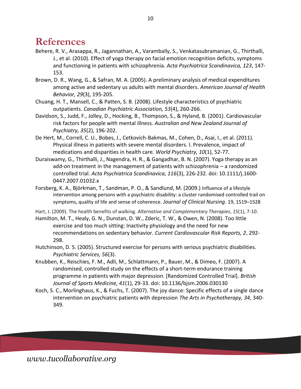## **References**

- Behere, R. V., Arasappa, R., Jagannathan, A., Varambally, S., Venkatasubramanian, G., Thirthalli, J., et al. (2010). Effect of yoga therapy on facial emotion recognition deficits, symptoms and functioning in patients with schizophrenia. *Acta Psychiatrica Scandinavica, 123*, 147- 153.
- Brown, D. R., Wang, G., & Safran, M. A. (2005). A preliminary analysis of medical expenditures among active and sedentary us adults with mental disorders. *American Journal of Health Behavior, 29*(3), 195-205.
- Chuang, H. T., Mansell, C., & Patten, S. B. (2008). Lifestyle characteristics of psychiatric outpatients. *Canadian Psychiatric Association, 53*(4), 260-266.
- Davidson, S., Judd, F., Jolley, D., Hocking, B., Thompson, S., & Hyland, B. (2001). Cardiovascular risk factors for people with mental illness. *Australian and New Zealand Journal of Psychiatry, 35*(2), 196-202.
- De Hert, M., Correll, C. U., Bobes, J., Cetkovich-Bakmas, M., Cohen, D., Asai, I., et al. (2011). Physical illness in patients with severe mental disorders. I. Prevalence, impact of medications and disparities in health care. *World Psychiatry, 10*(1), 52-77.
- Duraiswamy, G., Thirthalli, J., Nagendra, H. R., & Gangadhar, B. N. (2007). Yoga therapy as an add-on treatment in the management of patients with schizophrenia – a randomized controlled trial. *Acta Psychiatrica Scandinavica, 116*(3), 226-232. doi: 10.1111/j.1600- 0447.2007.01032.x
- Forsberg, K. A., Björkman, T., Sandman, P. O., & Sandlund, M. (2009.) Influence of a lifestyle intervention among persons with a psychiatric disability: a cluster randomised controlled trail on symptoms, quality of life and sense of coherence. *Journal of Clinical Nursing*. 19, 1519–1528
- Hart, J. (2009). The health benefits of walking. *Alternative and Complementary Therapies*, *15*(1), 7-10.
- Hamilton, M. T., Healy, G. N., Dunstan, D. W., Zderic, T. W., & Owen, N. (2008). Too little exercise and too much sitting: Inactivity physiology and the need for new recommendations on sedentary behavior. *Current Cardiovascular Risk Reports, 2*, 292- 298.
- Hutchinson, D. S. (2005). Structured exercise for persons with serious psychiatric disabilities. *Psychiatric Services, 56*(3).
- Knubben, K., Reischies, F. M., Adli, M., Schlattmann, P., Bauer, M., & Dimeo, F. (2007). A randomised, controlled study on the effects of a short-term endurance training programme in patients with major depression. [Randomized Controlled Trial]. *British Journal of Sports Medicine, 41*(1), 29-33. doi: 10.1136/bjsm.2006.030130
- Koch, S. C., Morlinghaus, K., & Fuchs, T. (2007). The joy dance: Specific effects of a single dance intervention on psychiatric patients with depression *The Arts in Psychotherapy, 34*, 340- 349.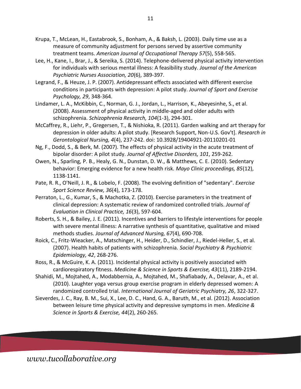- Krupa, T., McLean, H., Eastabrook, S., Bonham, A., & Baksh, L. (2003). Daily time use as a measure of community adjustment for persons served by assertive community treatment teams. *American Journal of Occupational Therapy 57*(5), 558-565.
- Lee, H., Kane, I., Brar, J., & Sereika, S. (2014). Telephone-delivered physical activity intervention for individuals with serious mental illness: A feasibility study. *Journal of the American Psychiatric Nurses Association, 20*(6), 389-397.
- Legrand, F., & Heuze, J. P. (2007). Antidepressant effects associated with different exercise conditions in participants with depression: A pilot study. *Journal of Sport and Exercise Psychology, 29*, 348-364.
- Lindamer, L. A., McKibbin, C., Norman, G. J., Jordan, L., Harrison, K., Abeyesinhe, S., et al. (2008). Assessment of physical activity in middle-aged and older adults with schizophrenia. *Schizophrenia Research, 104*(1-3), 294-301.
- McCaffrey, R., Liehr, P., Gregersen, T., & Nishioka, R. (2011). Garden walking and art therapy for depression in older adults: A pilot study. [Research Support, Non-U.S. Gov't]. *Research in Gerontological Nursing, 4*(4), 237-242. doi: 10.3928/19404921-20110201-01
- Ng, F., Dodd, S., & Berk, M. (2007). The effects of physical activity in the acute treatment of bipolar disorder: A pilot study. *Journal of Affective Disorders, 101*, 259-262.
- Owen, N., Sparling, P. B., Healy, G. N., Dunstan, D. W., & Matthews, C. E. (2010). Sedentary behavior: Emerging evidence for a new health risk. *Mayo Clinic proceedings, 85*(12), 1138-1141.
- Pate, R. R., O'Neill, J. R., & Lobelo, F. (2008). The evolving definition of "sedentary". *Exercise Sport Science Review, 36*(4), 173-178.
- Perraton, L., G., Kumar, S., & Machotka, Z. (2010). Exercise parameters in the treatment of clinical depression: A systematic review of randomized controlled trials. *Journal of Evaluation in Clinical Practice, 16*(3), 597-604.
- Roberts, S. H., & Bailey, J. E. (2011). Incentives and barriers to lifestyle interventions for people with severe mental illness: A narrative synthesis of quantitative, qualitative and mixed methods studies. *Journal of Advanced Nursing, 67*(4), 690-708.
- Roick, C., Fritz-Wieacker, A., Matschinger, H., Heider, D., Schindler, J., Riedel-Heller, S., et al. (2007). Health habits of patients with schizophrenia. *Social Psychiatry & Psychiatric Epidemiology, 42*, 268-276.
- Ross, R., & McGuire, K. A. (2011). Incidental physical activity is positively associated with cardiorespiratory fitness. *Medicine & Science in Sports & Exercise, 43*(11), 2189-2194.
- Shahidi, M., Mojtahed, A., Modabbernia, A., Mojtahed, M., Shafiabady, A., Delavar, A., et al. (2010). Laughter yoga versus group exercise program in elderly depressed women: A randomized controlled trial. *International Journal of Geriatric Psychiatry, 26*, 322-327.
- Sieverdes, J. C., Ray, B. M., Sui, X., Lee, D. C., Hand, G. A., Baruth, M., et al. (2012). Association between leisure time physical activity and depressive symptoms in men. *Medicine & Science in Sports & Exercise, 44*(2), 260-265.